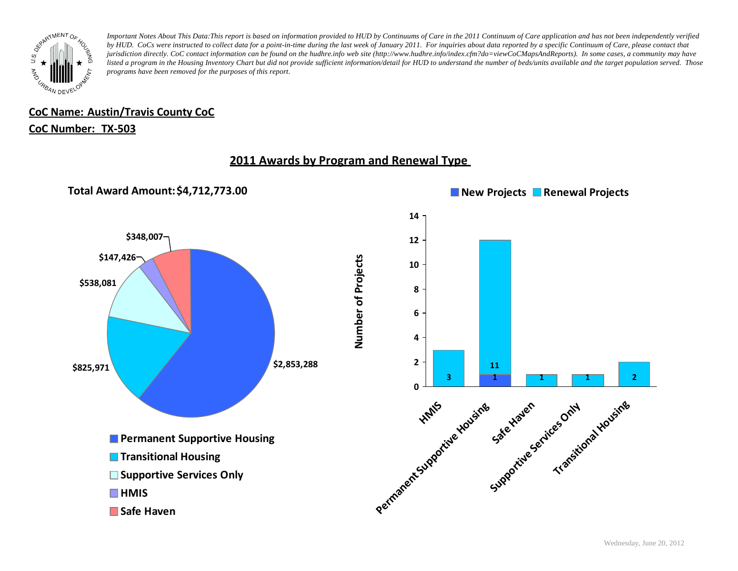

## **CoC Name: Austin/Travis County CoC**

### **CoC Number: TX-503**

## **2011 Awards by Program and Renewal Type**

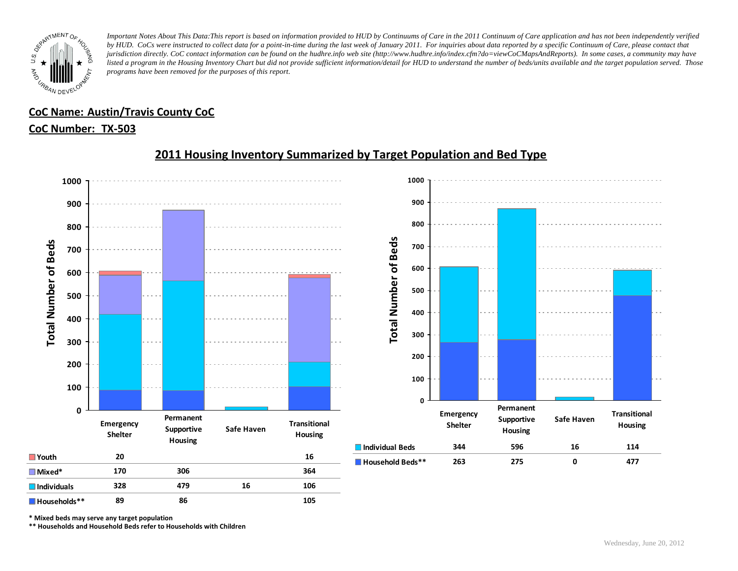

## **CoC Name: Austin/Travis County CoC**

### **CoC Number: TX-503**



## **2011 Housing Inventory Summarized by Target Population and Bed Type**

**\* Mixed beds may serve any target population**

**\*\* Households and Household Beds refer to Households with Children**

**Households\*\* 89 86 105**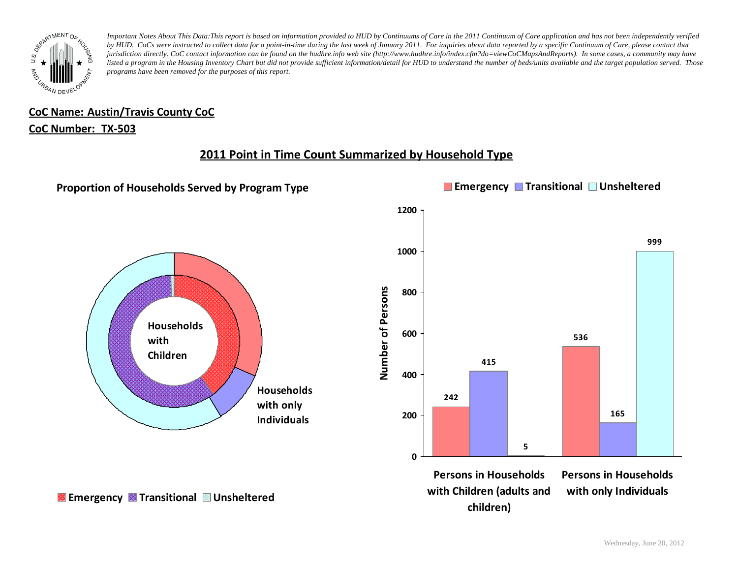

# **CoC Name: Austin/Travis County CoC**

### **CoC Number: TX-503**

## **2011 Point in Time Count Summarized by Household Type**